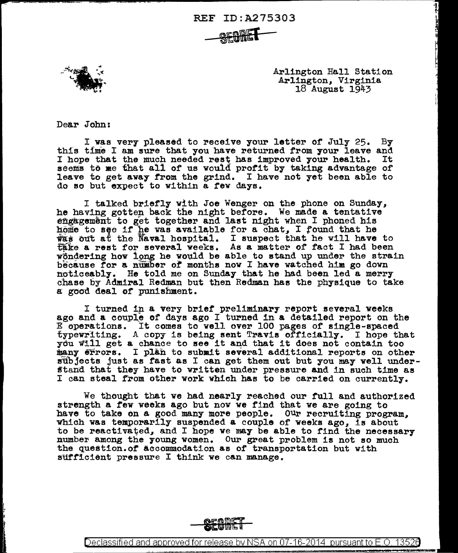REF ID:A275303

- SEGRET



Arlington Hall Station Arlington, Virginia<br>18 August 1943

Dear John;

 $\mathbf{L}$ ' I t

I was very pleased to receive your letter of July 25. By this time I am sure that you have returned from your leave and I hope that the much needed rest has improved your health. It I hope that the much needed rest has improved your health. seems to me that all of us would profit by taking advantage of leave to get away from the grind. I have not yet been able to do so but expect to within a rev days.

I talked briefly with Joe Wenger on the phone on Sunday, he having gotten back the night before. We made a tentative engagement to get together and last night when I phoned his home to see if he was available for a chat, I found that he was out at the Naval hospital. I suspect that he will have to take a rest for several weeks. As a matter of fact I had been wondering how long he would be able to stand up under the strain because for a number of months now I have watched him go down noticeably. He told me on Sunday that he had been led a merry chase by Admiral Redman but then Redman has the physique to take a good deal of punishment.

I turned in a very brief preliminary report several weeks ago and a couple of days ago I turned in a detailed report on the  $E$  operations. It comes to well over 100 pages of single-spaced typewriting. A copy is being sent Travis officially. I hope that ydu Wl.11 get & chance to see it and that it does not contain too many errors. I plan to submit several additional reports on other subjects just as fast as I can get them out but you may well understand that they have to written under pressure and in such time as I can steal from other work which has to be carried on currently.

We thought that ve had nearly reached our full and authorized strength a few weeks ago but now we find that we are going to have to take on a good many more people. Our recruiting program. which was temporarily suspended a couple of weeks ago, is about to be reactivated, and I hope we may be able to find the necessary number among the young women. Our great problem is not so much the question.or accommodation as of transportation but with sufficient pressure I think we can manage.

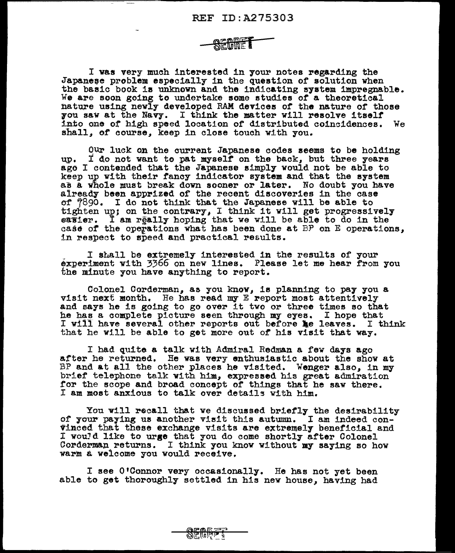I was very much interested in your notes regarding the Japanese problem especially in the question of solution when the basic book is unknown and the indicating syatem impregnable. We are soon going to undertake some studies of a theoretical nature using newly developed RAM devices of the nature of those 7ou aav at the Navy. I think the matter will resolve itself into one of high speed location of distributed coincidences. We shall, of course, keep in close touch with you.

Our luck on the current Japanese codes seems to be holding up. I do not want to pat myself on the back, but three years ago I contended that the Japanese simply would not be able to keep up with their fancy indicator system and that the system as a whole must break down sooner or later. No doubt you have already been apprized of the recent discoveries in the case er 7890. I do not think that the Japanese will be able to tighten up; on the contrary, I think it will get progressively easier. I am really hoping that we will be able to do in the case of the operations what has been done at BP on E operations, in respect to speed and practical results.

I shall be extremely interested in the results of your ~xperiment vith 3'66 on new lines. Please let me hear from you the minute you have anything to report.

Colonel Corderman, as you know, is planning to pay you a<br>visit next month. He has read my E report most attentively and says he is going to go over it two or three times so that he has a complete picture seen through my eyes. I hope that I will have several other reports out before he leaves. I think that he will be able to get more out or his visit that way.

I had quite a talk with Admiral Redman a few days ago after he returned. He was very enthusiastic about the show at BP and at all the other places he visited. Wenger also, in my brief telephone talk with him, expressed his great admiration for the scope and broad concept of things that he saw there. I am most anxious to talk over details with him.

You will recall that we discussed briefly the desirability of your paying us another visit this autumn. I am indeed convinced that these exchange visits are extremely beneficial and I wouJd like to **urge** that you do come shortly after Colonel Corderman returns. I think you know without my saying so how warm a welcome you would receive,

I see O'Connor very occasionally. He has not yet been able to get thoroughly settled in his new house, having had